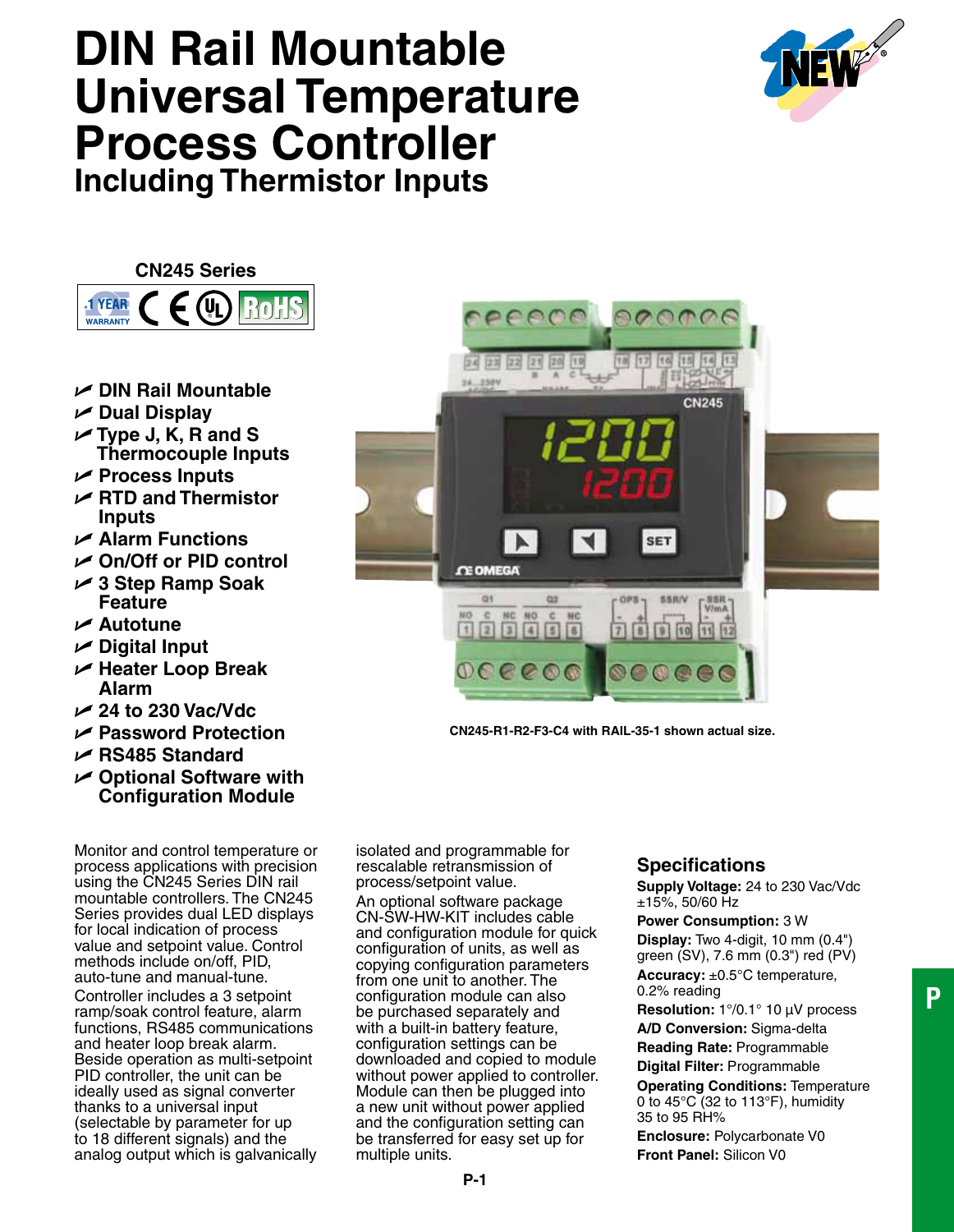# **DIN Rail Mountable Universal Temperature Process Controller Including Thermistor Inputs**



**CN245 Series**



- U **DIN Rail Mountable**
- U **Dual Display**
- U **Type J, K, R and S Thermocouple Inputs**
- U **Process Inputs**
- U **RTD and Thermistor Inputs**
- U **Alarm Functions**
- U **On/Off or PID control**
- U **3 Step Ramp Soak Feature**
- U **Autotune**
- U **Digital Input**
- U **Heater Loop Break Alarm**
- U **24 to 230 Vac/Vdc**
- U **Password Protection**
- U **RS485 Standard**
- U **Optional Software with Configuration Module**

Monitor and control temperature or process applications with precision using the CN245 Series DIN rail mountable controllers. The CN245 Series provides dual LED displays for local indication of process value and setpoint value. Control methods include on/off, PID, auto-tune and manual-tune. Controller includes a 3 setpoint ramp/soak control feature, alarm functions, RS485 communications and heater loop break alarm. Beside operation as multi-setpoint PID controller, the unit can be ideally used as signal converter thanks to a universal input (selectable by parameter for up to 18 different signals) and the analog output which is galvanically

isolated and programmable for rescalable retransmission of process/setpoint value. An optional software package CN-SW-HW-KIT includes cable and configuration module for quick configuration of units, as well as copying configuration parameters from one unit to another. The configuration module can also be purchased separately and with a built-in battery feature, configuration settings can be downloaded and copied to module without power applied to controller. Module can then be plugged into a new unit without power applied and the configuration setting can be transferred for easy set up for multiple units.

## **Specifications**

**CN245-R1-R2-F3-C4 with RAIL-35-1 shown actual size.**

 $\overline{7}$ 

 $\circ$ 

**SET** 

**SSR/V** 

 $9 | 10$  $\sqrt{11}$ 

**CN245** 

24 23 22 21

24 230

**CE OMEGA** œ۱

 $\sqrt{2}$ 

 $|20$ 

 $Q2$ 

 $\begin{array}{c|c|c|c}\n\text{NC} & \text{NO} & \text{C} & \text{RC} \\
\hline\n\end{array}$ 

 $000000$ 

**Supply Voltage:** 24 to 230 Vac/Vdc ±15%, 50/60 Hz

**Power Consumption:** 3 W **Display:** Two 4-digit, 10 mm (0.4") green (SV), 7.6 mm (0.3") red (PV) **Accuracy:** ±0.5°C temperature, 0.2% reading **Resolution:** 1°/0.1° 10 µV process **A/D Conversion:** Sigma-delta **Reading Rate:** Programmable **Digital Filter:** Programmable

**Operating Conditions:** Temperature 0 to 45°C (32 to 113°F), humidity 35 to 95 RH%

**Enclosure:** Polycarbonate V0 **Front Panel:** Silicon V0